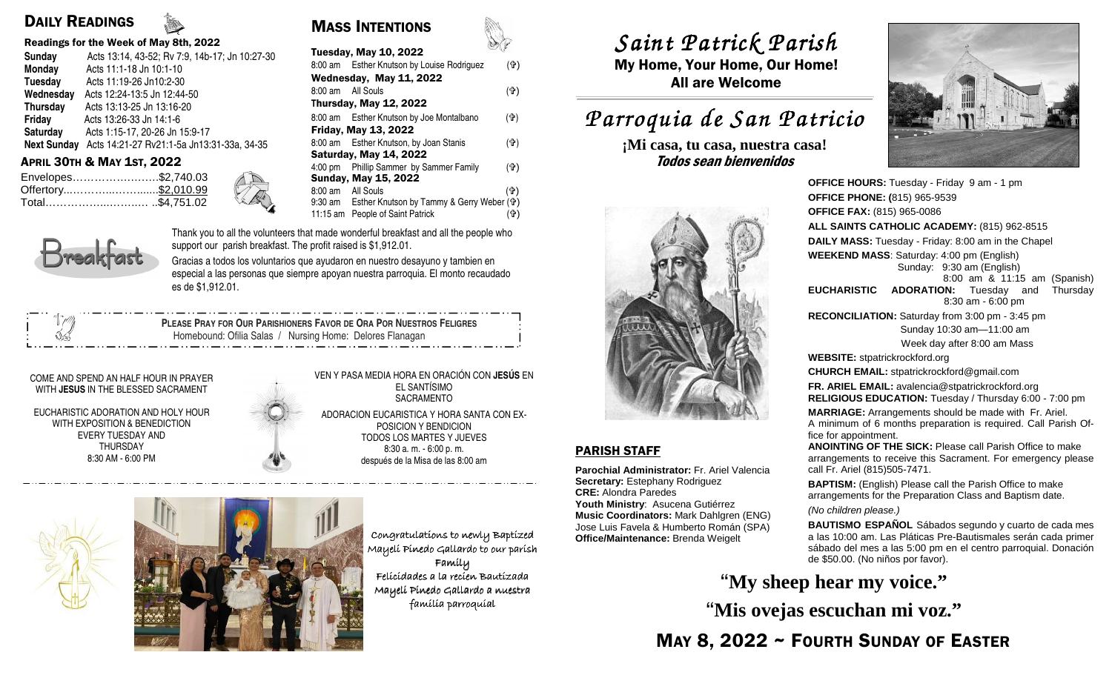### DAILY READINGS

#### Readings for the Week of May 8th, 2022

| <b>Sunday</b>      | Acts 13:14, 43-52; Rv 7:9, 14b-17; Jn 10:27-30 |
|--------------------|------------------------------------------------|
| Monday             | Acts 11:1-18 Jn 10:1-10                        |
| Tuesday            | Acts 11:19-26 Jn10:2-30                        |
| Wednesday          | Acts 12:24-13:5 Jn 12:44-50                    |
| <b>Thursday</b>    | Acts 13:13-25 Jn 13:16-20                      |
| Friday             | Acts 13:26-33 Jn 14:1-6                        |
| Saturday           | Acts 1:15-17, 20-26 Jn 15:9-17                 |
| <b>Next Sunday</b> | Acts 14:21-27 Rv21:1-5a Jn13:31-33a, 34-35     |
|                    |                                                |

| Envelopes\$2,740.03 |  |
|---------------------|--|
|                     |  |
| Total\$4,751.02     |  |

| Tuesday<br>Acts 11:19-26 Jn10:2-30                     | weanesday, may II, ZUZZ                           | <b>All are Welcome</b>     |
|--------------------------------------------------------|---------------------------------------------------|----------------------------|
| Acts 12:24-13:5 Jn 12:44-50<br>Wednesday               | (4)<br>8:00 am All Souls                          |                            |
| Thursday<br>Acts 13:13-25 Jn 13:16-20                  | Thursday, May 12, 2022                            |                            |
| Friday<br>Acts 13:26-33 Jn 14:1-6                      | 8:00 am Esther Knutson by Joe Montalbano<br>(ተ)   | Parroquia de San P         |
| Saturday<br>Acts 1:15-17, 20-26 Jn 15:9-17             | Friday, May 13, 2022                              |                            |
| Next Sunday Acts 14:21-27 Rv21:1-5a Jn13:31-33a, 34-35 | 8:00 am Esther Knutson, by Joan Stanis<br>(ተ)     | ¡Mi casa, tu casa, nuestra |
| <b>APRIL 30TH &amp; MAY 1ST, 2022</b>                  | <b>Saturday, May 14, 2022</b>                     | Todos sean bienvenidos     |
|                                                        | 4:00 pm Phillip Sammer by Sammer Family<br>(f)    |                            |
| Envelopes\$2,740.03                                    | <b>Sunday, May 15, 2022</b>                       |                            |
| Offertory\$2,010.99                                    | 8:00 am All Souls<br>(ተ)                          |                            |
| KA<br>Total\$4,751.02                                  | 9:30 am Esther Knutson by Tammy & Gerry Weber (+) |                            |
|                                                        | 11:15 am People of Saint Patrick<br>(ተ'           |                            |
|                                                        |                                                   |                            |

8:00 am Esther Knutson by Louise Rodriguez (ap)

MASS INTENTIONS

Tuesday, May 10, 2022

Wednesday, May 44, 2020

Thank you to all the volunteers that made wonderful breakfast and all the people who support our parish breakfast. The profit raised is \$1,912.01.

Gracias a todos los voluntarios que ayudaron en nuestro desayuno y tambien en especial a las personas que siempre apoyan nuestra parroquia. El monto recaudado es de \$1,912.01.

 **PLEASE PRAY FOR OUR PARISHIONERS FAVOR DE ORA POR NUESTROS FELIGRES** Homebound: Ofilia Salas / Nursing Home: Delores Flanagan

#### COME AND SPEND AN HALF HOUR IN PRAYER WITH **JESUS** IN THE BLESSED SACRAMENT

EUCHARISTIC ADORATION AND HOLY HOUR WITH EXPOSITION & BENEDICTION EVERY TUESDAY AND THURSDAY 8:30 AM - 6:00 PM

#### VEN Y PASA MEDIA HORA EN ORACIÓN CON **JESÚS** EN EL SANTÍSIMO SACRAMENTO ADORACION EUCARISTICA Y HORA SANTA CON EX-POSICION Y BENDICION TODOS LOS MARTES Y JUEVES 8:30 a. m. - 6:00 p. m. después de la Misa de las 8:00 am





Congratulations to newly Baptized Mayeli Pinedo Gallardo to our parish Family Felicidades a la recien Bautizada Mayeli Pinedo Gallardo a nuestra famílía parroquíal

# *Saint Patrick Parish Saint Parish*

 My Home, Your Home, Our Home! All are Welcome

## *Parroquia de San Patricio San Patricio*

**¡Mi casa, tu casa, nuestra casa!** 



#### PARISH STAFF

**Parochial Administrator:** Fr. Ariel Valencia **Secretary:** Estephany Rodriguez **CRE:** Alondra Paredes **Youth Ministry**: Asucena Gutiérrez **Music Coordinators:** Mark Dahlgren (ENG) Jose Luis Favela & Humberto Román (SPA) **Office/Maintenance:** Brenda Weigelt



**OFFICE HOURS:** Tuesday - Friday 9 am - 1 pm **OFFICE PHONE: (**815) 965-9539**OFFICE FAX:** (815) 965-0086 **ALL SAINTS CATHOLIC ACADEMY:** (815) 962-8515 **DAILY MASS:** Tuesday - Friday: 8:00 am in the Chapel**WEEKEND MASS**: Saturday: 4:00 pm (English) Sunday: 9:30 am (English) 8:00 am & 11:15 am (Spanish) **EUCHARISTIC ADORATION:** Tuesday and Thursday 8:30 am - 6:00 pm **RECONCILIATION:** Saturday from 3:00 pm - 3:45 pm Sunday 10:30 am—11:00 am Week day after 8:00 am Mass**WEBSITE:** stpatrickrockford.org **CHURCH EMAIL:** stpatrickrockford@gmail.com **FR. ARIEL EMAIL:** avalencia@stpatrickrockford.org **RELIGIOUS EDUCATION:** Tuesday / Thursday 6:00 - 7:00 pm**MARRIAGE:** Arrangements should be made with Fr. Ariel. A minimum of 6 months preparation is required. Call Parish Office for appointment. **ANOINTING OF THE SICK:** Please call Parish Office to make arrangements to receive this Sacrament. For emergency please call Fr. Ariel (815)505-7471.**BAPTISM:** (English) Please call the Parish Office to make arrangements for the Preparation Class and Baptism date. (No children please.)**BAUTISMO ESPAÑOL** Sábados segundo y cuarto de cada mes a las 10:00 am. Las Pláticas Pre-Bautismales serán cada primer sábado del mes a las 5:00 pm en el centro parroquial. Donación de \$50.00. (No niños por favor).

**"My sheep hear my voice." "Mis ovejas escuchan mi voz."**

MAY 8, 2022 ~ FOURTH SUNDAY OF EASTER